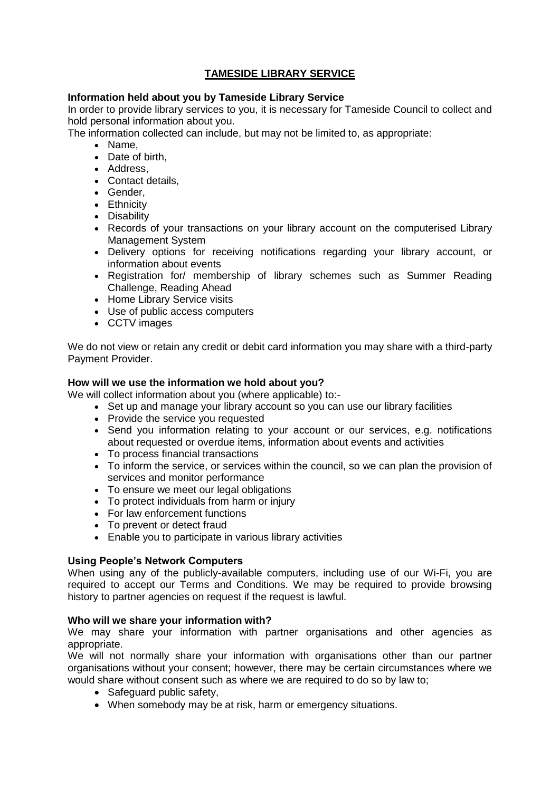# **TAMESIDE LIBRARY SERVICE**

## **Information held about you by Tameside Library Service**

In order to provide library services to you, it is necessary for Tameside Council to collect and hold personal information about you.

The information collected can include, but may not be limited to, as appropriate:

- Name,
- Date of birth,
- Address.
- Contact details,
- Gender,
- Ethnicity
- Disability
- Records of your transactions on your library account on the computerised Library Management System
- Delivery options for receiving notifications regarding your library account, or information about events
- Registration for/ membership of library schemes such as Summer Reading Challenge, Reading Ahead
- Home Library Service visits
- Use of public access computers
- CCTV images

We do not view or retain any credit or debit card information you may share with a third-party Payment Provider.

## **How will we use the information we hold about you?**

We will collect information about you (where applicable) to:-

- Set up and manage your library account so you can use our library facilities
- Provide the service you requested
- Send you information relating to your account or our services, e.g. notifications about requested or overdue items, information about events and activities
- To process financial transactions
- To inform the service, or services within the council, so we can plan the provision of services and monitor performance
- To ensure we meet our legal obligations
- To protect individuals from harm or injury
- For law enforcement functions
- To prevent or detect fraud
- Enable you to participate in various library activities

## **Using People's Network Computers**

When using any of the publicly-available computers, including use of our Wi-Fi, you are required to accept our Terms and Conditions. We may be required to provide browsing history to partner agencies on request if the request is lawful.

## **Who will we share your information with?**

We may share your information with partner organisations and other agencies as appropriate.

We will not normally share your information with organisations other than our partner organisations without your consent; however, there may be certain circumstances where we would share without consent such as where we are required to do so by law to;

- Safeguard public safety,
- When somebody may be at risk, harm or emergency situations.